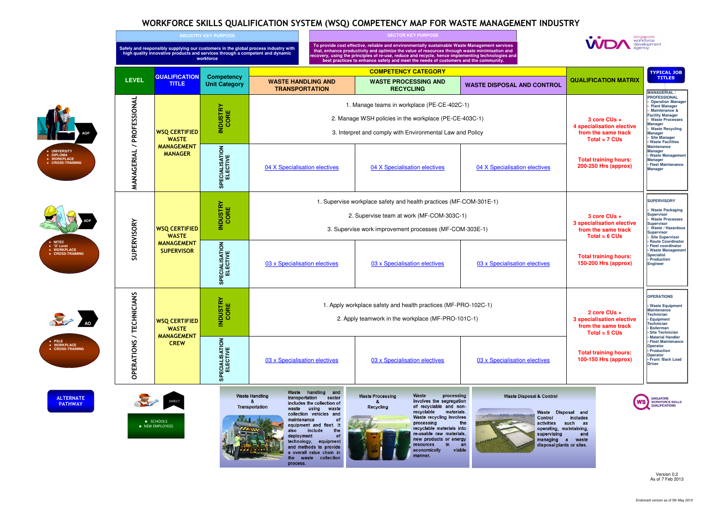# WORKFORCE SKILLS QUALIFICATION SYSTEM (WSQ) COMPETENCY MAP FOR WASTE MANAGEMENT INDUSTRY

| <b>ROL</b> | <b>QUALIFICATION MATRIX</b>                                                                | <b>TYPICAL JOB</b><br><b>TITLES</b>                                                                                                                                                                                                                                                                                             |
|------------|--------------------------------------------------------------------------------------------|---------------------------------------------------------------------------------------------------------------------------------------------------------------------------------------------------------------------------------------------------------------------------------------------------------------------------------|
|            | 3 core CUs +<br><b>4 specialisation elective</b><br>from the same track<br>Total = $7$ CUs | <b>MANAGERIAL /</b><br><b>PROFESSIONAL</b><br><b>Operation Manager</b><br><b>Plant Manager</b><br>Maintenance &<br><b>Facility Manager</b><br><b>Waste Processes</b><br>Manager<br><b>Waste Recycling</b><br><b>Manager</b><br><b>Site Manager</b><br>· Waste Facilities<br><b>Maintenance</b><br>Manager<br>· Waste Management |
| <u>s</u>   | <b>Total training hours:</b><br>200-250 Hrs (approx)                                       | <b>Manager</b><br>• Fleet Maintenance<br><b>Manager</b>                                                                                                                                                                                                                                                                         |
|            | 3 core CUs +<br><b>3 specialisation elective</b><br>from the same track<br>Total = $6$ CUs | <b>SUPERVISORY</b><br>• Waste Packaging<br><b>Supervisor</b><br>· Waste Processes<br><b>Supervisor</b><br><b>Waste / Hazardous</b><br><b>Supervisor</b><br><b>Site Supervisor</b><br>· Route Coordinator                                                                                                                        |
|            | <b>Total training hours:</b><br>150-200 Hrs (approx)                                       | <b>Fleet coordinator</b><br>· Waste Management<br><b>Specialist</b><br>• Production<br><b>Engineer</b>                                                                                                                                                                                                                          |
|            | 2 core CUs +<br><b>3 specialisation elective</b><br>from the same track<br>Total = $5$ CUs | <b>OPERATIONS</b><br>• Waste Equipment<br><b>Maintenance</b><br><b>Technician</b><br><b>Equipment</b><br><b>Technician</b><br>· Boilerman<br>· Site Technician<br><b>Material Handler</b>                                                                                                                                       |
|            | <b>Total training hours:</b><br>100-150 Hrs (approx)                                       | • Fleet Maintenance<br>Operator<br>• Production<br><b>Operator</b><br>· Front /Back Load<br><b>Driver</b>                                                                                                                                                                                                                       |

Waste Disposal and includes such as operating, maintaining, and managing a waste disposal plants or sites



SINGAPORE<br>WORKFORCE SKILLS<br>QUALIFICATIONS



●

●

●

●

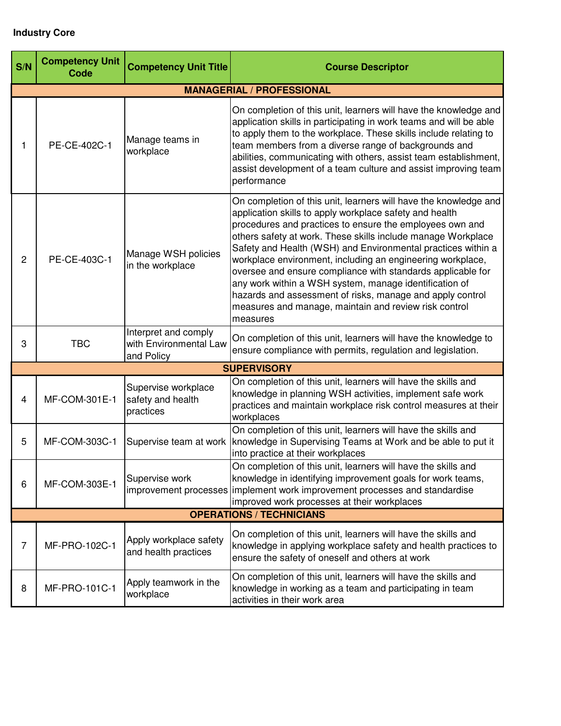## **Industry Core**

| S/N            | <b>Competency Unit</b><br>Code | <b>Competency Unit Title</b>                                 | <b>Course Descriptor</b>                                                                                                                                                                                                                                                                                                                                                                                                                                                                                                                                                                                                                         |
|----------------|--------------------------------|--------------------------------------------------------------|--------------------------------------------------------------------------------------------------------------------------------------------------------------------------------------------------------------------------------------------------------------------------------------------------------------------------------------------------------------------------------------------------------------------------------------------------------------------------------------------------------------------------------------------------------------------------------------------------------------------------------------------------|
|                |                                |                                                              | <b>MANAGERIAL / PROFESSIONAL</b>                                                                                                                                                                                                                                                                                                                                                                                                                                                                                                                                                                                                                 |
|                | PE-CE-402C-1                   | Manage teams in<br>workplace                                 | On completion of this unit, learners will have the knowledge and<br>application skills in participating in work teams and will be able<br>to apply them to the workplace. These skills include relating to<br>team members from a diverse range of backgrounds and<br>abilities, communicating with others, assist team establishment,<br>assist development of a team culture and assist improving team<br>performance                                                                                                                                                                                                                          |
| $\overline{c}$ | PE-CE-403C-1                   | Manage WSH policies<br>in the workplace                      | On completion of this unit, learners will have the knowledge and<br>application skills to apply workplace safety and health<br>procedures and practices to ensure the employees own and<br>others safety at work. These skills include manage Workplace<br>Safety and Health (WSH) and Environmental practices within a<br>workplace environment, including an engineering workplace,<br>oversee and ensure compliance with standards applicable for<br>any work within a WSH system, manage identification of<br>hazards and assessment of risks, manage and apply control<br>measures and manage, maintain and review risk control<br>measures |
| 3              | <b>TBC</b>                     | Interpret and comply<br>with Environmental Law<br>and Policy | On completion of this unit, learners will have the knowledge to<br>ensure compliance with permits, regulation and legislation.                                                                                                                                                                                                                                                                                                                                                                                                                                                                                                                   |
|                |                                |                                                              | <b>SUPERVISORY</b>                                                                                                                                                                                                                                                                                                                                                                                                                                                                                                                                                                                                                               |
| 4              | MF-COM-301E-1                  | Supervise workplace<br>safety and health<br>practices        | On completion of this unit, learners will have the skills and<br>knowledge in planning WSH activities, implement safe work<br>practices and maintain workplace risk control measures at their<br>workplaces                                                                                                                                                                                                                                                                                                                                                                                                                                      |
| 5              | MF-COM-303C-1                  | Supervise team at work                                       | On completion of this unit, learners will have the skills and<br>knowledge in Supervising Teams at Work and be able to put it<br>into practice at their workplaces                                                                                                                                                                                                                                                                                                                                                                                                                                                                               |
| 6              | MF-COM-303E-1                  | Supervise work                                               | On completion of this unit, learners will have the skills and<br>knowledge in identifying improvement goals for work teams,<br>improvement processes implement work improvement processes and standardise<br>improved work processes at their workplaces                                                                                                                                                                                                                                                                                                                                                                                         |
|                |                                |                                                              | <b>OPERATIONS / TECHNICIANS</b>                                                                                                                                                                                                                                                                                                                                                                                                                                                                                                                                                                                                                  |
| $\overline{7}$ | MF-PRO-102C-1                  | Apply workplace safety<br>and health practices               | On completion of this unit, learners will have the skills and<br>knowledge in applying workplace safety and health practices to<br>ensure the safety of oneself and others at work                                                                                                                                                                                                                                                                                                                                                                                                                                                               |
| 8              | MF-PRO-101C-1                  | Apply teamwork in the<br>workplace                           | On completion of this unit, learners will have the skills and<br>knowledge in working as a team and participating in team<br>activities in their work area                                                                                                                                                                                                                                                                                                                                                                                                                                                                                       |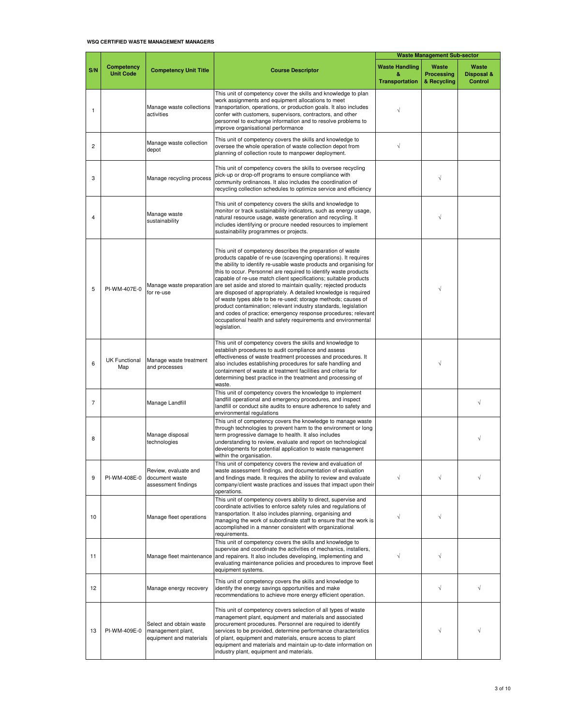#### **WSQ CERTIFIED WASTE MANAGEMENT MANAGERS**

|                |                                |                                                                         |                                                                                                                                                                                                                                                                                                                                                                                                                                                                                                                                                                                                                                                                                                                                                                           | <b>Waste Management Sub-sector</b>                  |                                    |                                       |
|----------------|--------------------------------|-------------------------------------------------------------------------|---------------------------------------------------------------------------------------------------------------------------------------------------------------------------------------------------------------------------------------------------------------------------------------------------------------------------------------------------------------------------------------------------------------------------------------------------------------------------------------------------------------------------------------------------------------------------------------------------------------------------------------------------------------------------------------------------------------------------------------------------------------------------|-----------------------------------------------------|------------------------------------|---------------------------------------|
| S/N            | Competency<br><b>Unit Code</b> | <b>Competency Unit Title</b>                                            | <b>Course Descriptor</b>                                                                                                                                                                                                                                                                                                                                                                                                                                                                                                                                                                                                                                                                                                                                                  | <b>Waste Handling</b><br>&<br><b>Transportation</b> | Waste<br>Processing<br>& Recycling | Waste<br>Disposal &<br><b>Control</b> |
| 1              |                                | Manage waste collections<br>activities                                  | This unit of competency cover the skills and knowledge to plan<br>work assignments and equipment allocations to meet<br>transportation, operations, or production goals. It also includes<br>confer with customers, supervisors, contractors, and other<br>personnel to exchange information and to resolve problems to<br>improve organisational performance                                                                                                                                                                                                                                                                                                                                                                                                             | $\sqrt{ }$                                          |                                    |                                       |
| $\overline{2}$ |                                | Manage waste collection<br>depot                                        | This unit of competency covers the skills and knowledge to<br>oversee the whole operation of waste collection depot from<br>planning of collection route to manpower deployment.                                                                                                                                                                                                                                                                                                                                                                                                                                                                                                                                                                                          | $\sqrt{}$                                           |                                    |                                       |
| 3              |                                | Manage recycling process                                                | This unit of competency covers the skills to oversee recycling<br>pick-up or drop-off programs to ensure compliance with<br>community ordinances. It also includes the coordination of<br>recycling collection schedules to optimize service and efficiency                                                                                                                                                                                                                                                                                                                                                                                                                                                                                                               |                                                     | √                                  |                                       |
| 4              |                                | Manage waste<br>sustainability                                          | This unit of competency covers the skills and knowledge to<br>monitor or track sustainability indicators, such as energy usage,<br>natural resource usage, waste generation and recycling. It<br>includes identifying or procure needed resources to implement<br>sustainability programmes or projects.                                                                                                                                                                                                                                                                                                                                                                                                                                                                  |                                                     | $\sqrt{}$                          |                                       |
| 5              | PI-WM-407E-0                   | Manage waste preparation<br>for re-use                                  | This unit of competency describes the preparation of waste<br>products capable of re-use (scavenging operations). It requires<br>the ability to identify re-usable waste products and organising for<br>this to occur. Personnel are required to identify waste products<br>capable of re-use match client specifications; suitable products<br>are set aside and stored to maintain quality; rejected products<br>are disposed of appropriately. A detailed knowledge is required<br>of waste types able to be re-used; storage methods; causes of<br>product contamination; relevant industry standards, legislation<br>and codes of practice; emergency response procedures; relevant<br>occupational health and safety requirements and environmental<br>legislation. |                                                     | $\sqrt{}$                          |                                       |
| 6              | <b>UK Functional</b><br>Map    | Manage waste treatment<br>and processes                                 | This unit of competency covers the skills and knowledge to<br>establish procedures to audit compliance and assess<br>effectiveness of waste treatment processes and procedures. It<br>also includes establishing procedures for safe handling and<br>containment of waste at treatment facilities and criteria for<br>determining best practice in the treatment and processing of<br>waste.                                                                                                                                                                                                                                                                                                                                                                              |                                                     | $\sqrt{}$                          |                                       |
| $\overline{7}$ |                                | Manage Landfill                                                         | This unit of competency covers the knowledge to implement<br>landfill operational and emergency procedures, and inspect<br>landfill or conduct site audits to ensure adherence to safety and<br>environmental regulations                                                                                                                                                                                                                                                                                                                                                                                                                                                                                                                                                 |                                                     |                                    |                                       |
| 8              |                                | Manage disposal<br>technologies                                         | This unit of competency covers the knowledge to manage waste<br>through technologies to prevent harm to the environment or long<br>term progressive damage to health. It also includes<br>understanding to review, evaluate and report on technological<br>developments for potential application to waste management<br>within the organisation.                                                                                                                                                                                                                                                                                                                                                                                                                         |                                                     |                                    |                                       |
| 9              | PI-WM-408E-0                   | Review, evaluate and<br>document waste<br>assessment findings           | This unit of competency covers the review and evaluation of<br>waste assessment findings, and documentation of evaluation<br>and findings made. It requires the ability to review and evaluate<br>company/client waste practices and issues that impact upon their<br>operations.                                                                                                                                                                                                                                                                                                                                                                                                                                                                                         |                                                     |                                    |                                       |
| 10             |                                | Manage fleet operations                                                 | This unit of competency covers ability to direct, supervise and<br>coordinate activities to enforce safety rules and regulations of<br>transportation. It also includes planning, organising and<br>managing the work of subordinate staff to ensure that the work is<br>accomplished in a manner consistent with organizational<br>requirements.                                                                                                                                                                                                                                                                                                                                                                                                                         | $\sqrt{}$                                           | $\sqrt{}$                          |                                       |
| 11             |                                | Manage fleet maintenance                                                | This unit of competency covers the skills and knowledge to<br>supervise and coordinate the activities of mechanics, installers,<br>and repairers. It also includes developing, implementing and<br>evaluating maintenance policies and procedures to improve fleet<br>equipment systems.                                                                                                                                                                                                                                                                                                                                                                                                                                                                                  | $\sqrt{}$                                           | $\sqrt{}$                          |                                       |
| 12             |                                | Manage energy recovery                                                  | This unit of competency covers the skills and knowledge to<br>identify the energy savings opportunities and make<br>recommendations to achieve more energy efficient operation.                                                                                                                                                                                                                                                                                                                                                                                                                                                                                                                                                                                           |                                                     | $\sqrt{}$                          |                                       |
| 13             | PI-WM-409E-0                   | Select and obtain waste<br>management plant,<br>equipment and materials | This unit of competency covers selection of all types of waste<br>management plant, equipment and materials and associated<br>procurement procedures. Personnel are required to identify<br>services to be provided, determine performance characteristics<br>of plant, equipment and materials, ensure access to plant<br>equipment and materials and maintain up-to-date information on<br>industry plant, equipment and materials.                                                                                                                                                                                                                                                                                                                                     |                                                     |                                    |                                       |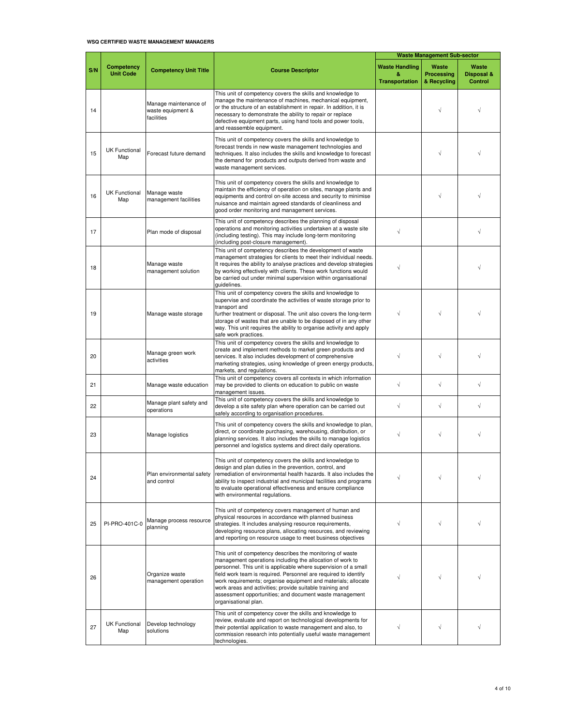#### **WSQ CERTIFIED WASTE MANAGEMENT MANAGERS**

|     |                                       |                                                          |                                                                                                                                                                                                                                                                                                                                                                                                                                                                              | <b>Waste Management Sub-sector</b>                  |                                           |                                       |
|-----|---------------------------------------|----------------------------------------------------------|------------------------------------------------------------------------------------------------------------------------------------------------------------------------------------------------------------------------------------------------------------------------------------------------------------------------------------------------------------------------------------------------------------------------------------------------------------------------------|-----------------------------------------------------|-------------------------------------------|---------------------------------------|
| S/N | <b>Competency</b><br><b>Unit Code</b> | <b>Competency Unit Title</b>                             | <b>Course Descriptor</b>                                                                                                                                                                                                                                                                                                                                                                                                                                                     | <b>Waste Handling</b><br>&<br><b>Transportation</b> | Waste<br><b>Processing</b><br>& Recycling | Waste<br>Disposal &<br><b>Control</b> |
| 14  |                                       | Manage maintenance of<br>waste equipment &<br>facilities | This unit of competency covers the skills and knowledge to<br>manage the maintenance of machines, mechanical equipment,<br>or the structure of an establishment in repair. In addition, it is<br>necessary to demonstrate the ability to repair or replace<br>defective equipment parts, using hand tools and power tools,<br>and reassemble equipment.                                                                                                                      |                                                     |                                           |                                       |
| 15  | <b>UK Functional</b><br>Map           | Forecast future demand                                   | This unit of competency covers the skills and knowledge to<br>forecast trends in new waste management technologies and<br>techniques. It also includes the skills and knowledge to forecast<br>the demand for products and outputs derived from waste and<br>waste management services.                                                                                                                                                                                      |                                                     | $\sqrt{}$                                 |                                       |
| 16  | <b>UK Functional</b><br>Map           | Manage waste<br>management facilities                    | This unit of competency covers the skills and knowledge to<br>maintain the efficiency of operation on sites, manage plants and<br>equipments and control on-site access and security to minimise<br>nuisance and maintain agreed standards of cleanliness and<br>good order monitoring and management services.                                                                                                                                                              |                                                     | $\sqrt{}$                                 |                                       |
| 17  |                                       | Plan mode of disposal                                    | This unit of competency describes the planning of disposal<br>operations and monitoring activities undertaken at a waste site<br>(including testing). This may include long-term monitoring<br>(including post-closure management).                                                                                                                                                                                                                                          | $\sqrt{}$                                           |                                           |                                       |
| 18  |                                       | Manage waste<br>management solution                      | This unit of competency describes the development of waste<br>management strategies for clients to meet their individual needs.<br>It requires the ability to analyse practices and develop strategies<br>by working effectively with clients. These work functions would<br>be carried out under minimal supervision within organisational<br>quidelines.                                                                                                                   | $\sqrt{}$                                           |                                           |                                       |
| 19  |                                       | Manage waste storage                                     | This unit of competency covers the skills and knowledge to<br>supervise and coordinate the activities of waste storage prior to<br>transport and<br>further treatment or disposal. The unit also covers the long-term<br>storage of wastes that are unable to be disposed of in any other<br>way. This unit requires the ability to organise activity and apply<br>safe work practices.                                                                                      | $\sqrt{}$                                           |                                           |                                       |
| 20  |                                       | Manage green work<br>activities                          | This unit of competency covers the skills and knowledge to<br>create and implement methods to market green products and<br>services. It also includes development of comprehensive<br>marketing strategies, using knowledge of green energy products,<br>markets, and regulations.                                                                                                                                                                                           | $\sqrt{}$                                           |                                           |                                       |
| 21  |                                       | Manage waste education                                   | This unit of competency covers all contexts in which information<br>may be provided to clients on education to public on waste<br>management issues.                                                                                                                                                                                                                                                                                                                         | $\sqrt{}$                                           | $\sqrt{ }$                                | $\sqrt{}$                             |
| 22  |                                       | Manage plant safety and<br>operations                    | This unit of competency covers the skills and knowledge to<br>develop a site safety plan where operation can be carried out<br>safely according to organisation procedures.                                                                                                                                                                                                                                                                                                  | $\sqrt{ }$                                          | $\sqrt{}$                                 | $\sqrt{}$                             |
| 23  |                                       | Manage logistics                                         | This unit of competency covers the skills and knowledge to plan,<br>direct, or coordinate purchasing, warehousing, distribution, or<br>planning services. It also includes the skills to manage logistics<br>personnel and logistics systems and direct daily operations.                                                                                                                                                                                                    | $\sqrt{}$                                           | $\sqrt{}$                                 |                                       |
| 24  |                                       | Plan environmental safety<br>and control                 | This unit of competency covers the skills and knowledge to<br>design and plan duties in the prevention, control, and<br>remediation of environmental health hazards. It also includes the<br>ability to inspect industrial and municipal facilities and programs<br>to evaluate operational effectiveness and ensure compliance<br>with environmental regulations.                                                                                                           | $\sqrt{}$                                           | $\sqrt{}$                                 |                                       |
| 25  | PI-PRO-401C-0                         | Manage process resource<br>planning                      | This unit of competency covers management of human and<br>physical resources in accordance with planned business<br>strategies. It includes analysing resource requirements,<br>developing resource plans, allocating resources, and reviewing<br>and reporting on resource usage to meet business objectives                                                                                                                                                                | $\sqrt{}$                                           | $\sqrt{}$                                 |                                       |
| 26  |                                       | Organize waste<br>management operation                   | This unit of competency describes the monitoring of waste<br>management operations including the allocation of work to<br>personnel. This unit is applicable where supervision of a small<br>field work team is required. Personnel are required to identify<br>work requirements; organise equipment and materials; allocate<br>work areas and activities; provide suitable training and<br>assessment opportunities; and document waste management<br>organisational plan. | $\sqrt{}$                                           | $\sqrt{}$                                 |                                       |
| 27  | <b>UK Functional</b><br>Map           | Develop technology<br>solutions                          | This unit of competency cover the skills and knowledge to<br>review, evaluate and report on technological developments for<br>their potential application to waste management and also, to<br>commission research into potentially useful waste management<br>technologies.                                                                                                                                                                                                  | $\sqrt{}$                                           | $\sqrt{}$                                 |                                       |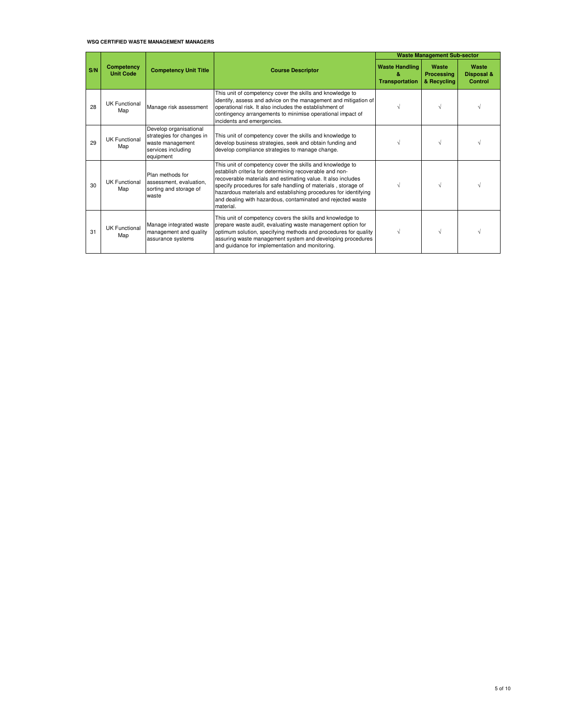#### **WSQ CERTIFIED WASTE MANAGEMENT MANAGERS**

|     |                                |                                                                                                            |                                                                                                                                                                                                                                                                                                                                                                                                      |                                                      | <b>Waste Management Sub-sector</b> |                                |
|-----|--------------------------------|------------------------------------------------------------------------------------------------------------|------------------------------------------------------------------------------------------------------------------------------------------------------------------------------------------------------------------------------------------------------------------------------------------------------------------------------------------------------------------------------------------------------|------------------------------------------------------|------------------------------------|--------------------------------|
| S/N | Competency<br><b>Unit Code</b> | <b>Competency Unit Title</b>                                                                               | <b>Course Descriptor</b>                                                                                                                                                                                                                                                                                                                                                                             | <b>Waste Handling</b><br>2.<br><b>Transportation</b> | Waste<br>Processing<br>& Recycling | Waste<br>Disposal &<br>Control |
| 28  | UK Functional<br>Map           | Manage risk assessment                                                                                     | This unit of competency cover the skills and knowledge to<br>identify, assess and advice on the management and mitigation of<br>operational risk. It also includes the establishment of<br>contingency arrangements to minimise operational impact of<br>incidents and emergencies.                                                                                                                  |                                                      |                                    |                                |
| 29  | <b>UK Functional</b><br>Map    | Develop organisational<br>strategies for changes in<br>waste management<br>services including<br>equipment | This unit of competency cover the skills and knowledge to<br>develop business strategies, seek and obtain funding and<br>develop compliance strategies to manage change.                                                                                                                                                                                                                             |                                                      |                                    |                                |
| 30  | <b>UK Functional</b><br>Map    | Plan methods for<br>assessment, evaluation,<br>sorting and storage of<br>waste                             | This unit of competency cover the skills and knowledge to<br>establish criteria for determining recoverable and non-<br>recoverable materials and estimating value. It also includes<br>specify procedures for safe handling of materials, storage of<br>hazardous materials and establishing procedures for identifying<br>and dealing with hazardous, contaminated and rejected waste<br>material. |                                                      |                                    |                                |
| 31  | <b>UK Functional</b><br>Map    | Manage integrated waste<br>management and quality<br>assurance systems                                     | This unit of competency covers the skills and knowledge to<br>prepare waste audit, evaluating waste management option for<br>optimum solution, specifying methods and procedures for quality<br>assuring waste management system and developing procedures<br>and quidance for implementation and monitoring.                                                                                        | $\sqrt{}$                                            |                                    |                                |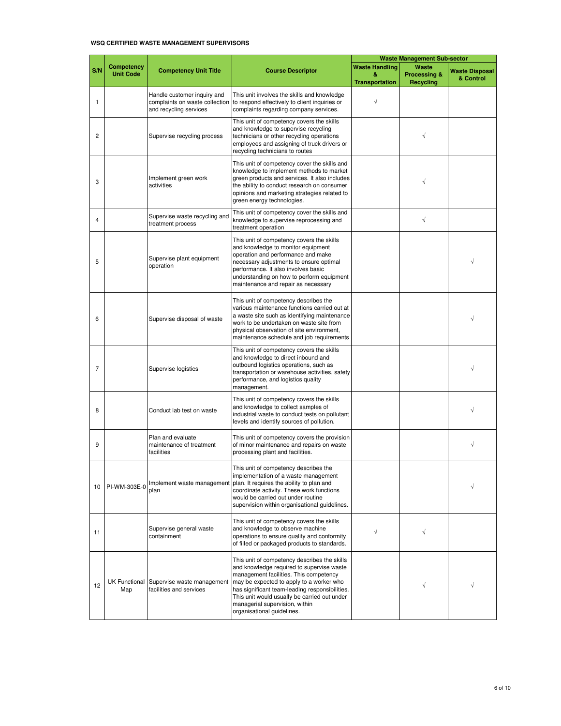#### **WSQ CERTIFIED WASTE MANAGEMENT SUPERVISORS**

|                |                                |                                                                                         |                                                                                                                                                                                                                                                                                                                                                   | <b>Waste Management Sub-sector</b> |                                  |                                    |
|----------------|--------------------------------|-----------------------------------------------------------------------------------------|---------------------------------------------------------------------------------------------------------------------------------------------------------------------------------------------------------------------------------------------------------------------------------------------------------------------------------------------------|------------------------------------|----------------------------------|------------------------------------|
| S/N            | Competency<br><b>Unit Code</b> | <b>Competency Unit Title</b>                                                            | <b>Course Descriptor</b>                                                                                                                                                                                                                                                                                                                          | <b>Waste Handling</b><br>&         | Waste<br><b>Processing &amp;</b> | <b>Waste Disposal</b><br>& Control |
| $\mathbf{1}$   |                                | Handle customer inquiry and<br>complaints on waste collection<br>and recycling services | This unit involves the skills and knowledge<br>to respond effectively to client inquiries or<br>complaints regarding company services.                                                                                                                                                                                                            | <b>Transportation</b><br>$\sqrt{}$ | <b>Recycling</b>                 |                                    |
| 2              |                                | Supervise recycling process                                                             | This unit of competency covers the skills<br>and knowledge to supervise recycling<br>technicians or other recycling operations<br>employees and assigning of truck drivers or<br>recycling technicians to routes                                                                                                                                  |                                    | $\sqrt{}$                        |                                    |
| 3              |                                | Implement green work<br>activities                                                      | This unit of competency cover the skills and<br>knowledge to implement methods to market<br>green products and services. It also includes<br>the ability to conduct research on consumer<br>opinions and marketing strategies related to<br>green energy technologies.                                                                            |                                    | V                                |                                    |
| 4              |                                | Supervise waste recycling and<br>treatment process                                      | This unit of competency cover the skills and<br>knowledge to supervise reprocessing and<br>treatment operation                                                                                                                                                                                                                                    |                                    | $\sqrt{}$                        |                                    |
| 5              |                                | Supervise plant equipment<br>operation                                                  | This unit of competency covers the skills<br>and knowledge to monitor equipment<br>operation and performance and make<br>necessary adjustments to ensure optimal<br>performance. It also involves basic<br>understanding on how to perform equipment<br>maintenance and repair as necessary                                                       |                                    |                                  |                                    |
| 6              |                                | Supervise disposal of waste                                                             | This unit of competency describes the<br>various maintenance functions carried out at<br>a waste site such as identifying maintenance<br>work to be undertaken on waste site from<br>physical observation of site environment,<br>maintenance schedule and job requirements                                                                       |                                    |                                  |                                    |
| $\overline{7}$ |                                | Supervise logistics                                                                     | This unit of competency covers the skills<br>and knowledge to direct inbound and<br>outbound logistics operations, such as<br>transportation or warehouse activities, safety<br>performance, and logistics quality<br>management.                                                                                                                 |                                    |                                  |                                    |
| 8              |                                | Conduct lab test on waste                                                               | This unit of competency covers the skills<br>and knowledge to collect samples of<br>industrial waste to conduct tests on pollutant<br>levels and identify sources of pollution.                                                                                                                                                                   |                                    |                                  |                                    |
| 9              |                                | Plan and evaluate<br>maintenance of treatment<br>facilities                             | This unit of competency covers the provision<br>of minor maintenance and repairs on waste<br>processing plant and facilities.                                                                                                                                                                                                                     |                                    |                                  | √                                  |
| 10             | PI-WM-303E-0                   | Implement waste management<br>plan                                                      | This unit of competency describes the<br>implementation of a waste management<br>plan. It requires the ability to plan and<br>coordinate activity. These work functions<br>would be carried out under routine<br>supervision within organisational guidelines.                                                                                    |                                    |                                  |                                    |
| 11             |                                | Supervise general waste<br>containment                                                  | This unit of competency covers the skills<br>and knowledge to observe machine<br>operations to ensure quality and conformity<br>of filled or packaged products to standards.                                                                                                                                                                      | $\sqrt{ }$                         | $\sqrt{}$                        |                                    |
| 12             | Map                            | UK Functional Supervise waste management<br>facilities and services                     | This unit of competency describes the skills<br>and knowledge required to supervise waste<br>management facilities. This competency<br>may be expected to apply to a worker who<br>has significant team-leading responsibilities.<br>This unit would usually be carried out under<br>managerial supervision, within<br>organisational guidelines. |                                    | $\sqrt{}$                        |                                    |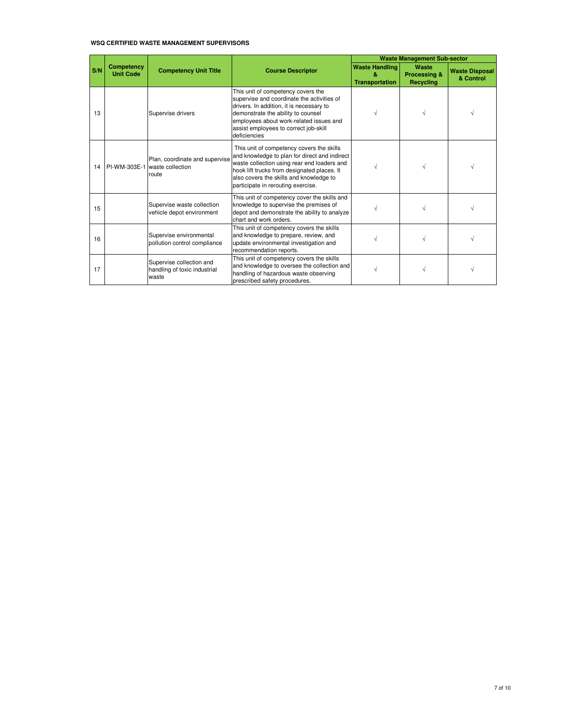#### **WSQ CERTIFIED WASTE MANAGEMENT SUPERVISORS**

|     |                                |                                                                          |                                                                                                                                                                                                                                                                           |                                                      | <b>Waste Management Sub-sector</b>        |                                    |
|-----|--------------------------------|--------------------------------------------------------------------------|---------------------------------------------------------------------------------------------------------------------------------------------------------------------------------------------------------------------------------------------------------------------------|------------------------------------------------------|-------------------------------------------|------------------------------------|
| S/N | Competency<br><b>Unit Code</b> | <b>Competency Unit Title</b>                                             | <b>Course Descriptor</b>                                                                                                                                                                                                                                                  | <b>Waste Handling</b><br>R.<br><b>Transportation</b> | Waste<br>Processing &<br><b>Recycling</b> | <b>Waste Disposal</b><br>& Control |
| 13  |                                | Supervise drivers                                                        | This unit of competency covers the<br>supervise and coordinate the activities of<br>drivers. In addition, it is necessary to<br>demonstrate the ability to counsel<br>employees about work-related issues and<br>assist employees to correct job-skill<br>deficiencies    |                                                      |                                           |                                    |
| 14  |                                | Plan, coordinate and supervise<br>PI-WM-303E-1 waste collection<br>route | This unit of competency covers the skills<br>and knowledge to plan for direct and indirect<br>waste collection using rear end loaders and<br>hook lift trucks from designated places. It<br>also covers the skills and knowledge to<br>participate in rerouting exercise. |                                                      | $\sqrt{ }$                                |                                    |
| 15  |                                | Supervise waste collection<br>vehicle depot environment                  | This unit of competency cover the skills and<br>knowledge to supervise the premises of<br>depot and demonstrate the ability to analyze<br>chart and work orders.                                                                                                          |                                                      | V                                         |                                    |
| 16  |                                | Supervise environmental<br>pollution control compliance                  | This unit of competency covers the skills<br>and knowledge to prepare, review, and<br>update environmental investigation and<br>recommendation reports.                                                                                                                   |                                                      |                                           |                                    |
| 17  |                                | Supervise collection and<br>handling of toxic industrial<br>waste        | This unit of competency covers the skills<br>and knowledge to oversee the collection and<br>handling of hazardous waste observing<br>prescribed safety procedures.                                                                                                        |                                                      | V                                         |                                    |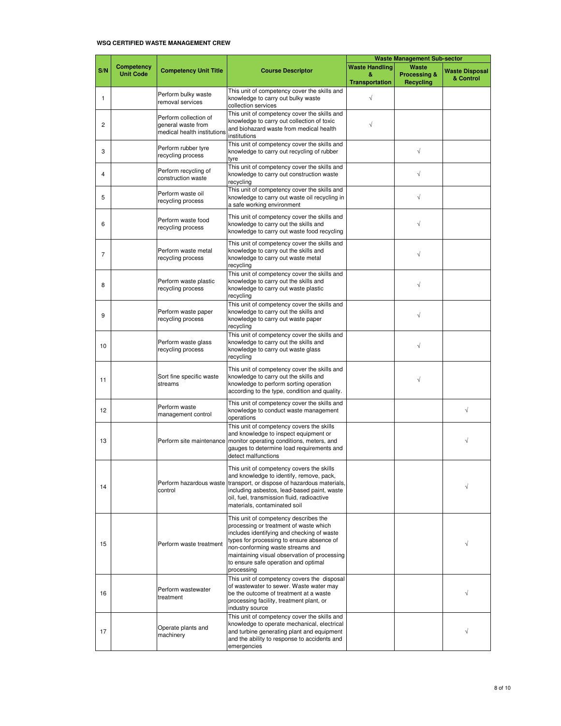### **WSQ CERTIFIED WASTE MANAGEMENT CREW**

|                   |                                |                                                                            |                                                                                                                                                                                                                                                                                                                      |                                                     | <b>Waste Management Sub-sector</b>                   |                                    |
|-------------------|--------------------------------|----------------------------------------------------------------------------|----------------------------------------------------------------------------------------------------------------------------------------------------------------------------------------------------------------------------------------------------------------------------------------------------------------------|-----------------------------------------------------|------------------------------------------------------|------------------------------------|
| S/N               | Competency<br><b>Unit Code</b> | <b>Competency Unit Title</b>                                               | <b>Course Descriptor</b>                                                                                                                                                                                                                                                                                             | <b>Waste Handling</b><br>&<br><b>Transportation</b> | Waste<br><b>Processing &amp;</b><br><b>Recycling</b> | <b>Waste Disposal</b><br>& Control |
| $\mathbf{1}$      |                                | Perform bulky waste<br>removal services                                    | This unit of competency cover the skills and<br>knowledge to carry out bulky waste<br>collection services                                                                                                                                                                                                            | $\sqrt{}$                                           |                                                      |                                    |
| $\overline{c}$    |                                | Perform collection of<br>general waste from<br>medical health institutions | This unit of competency cover the skills and<br>knowledge to carry out collection of toxic<br>and biohazard waste from medical health<br>institutions                                                                                                                                                                | $\sqrt{}$                                           |                                                      |                                    |
| 3                 |                                | Perform rubber tyre<br>recycling process                                   | This unit of competency cover the skills and<br>knowledge to carry out recycling of rubber<br>tyre                                                                                                                                                                                                                   |                                                     | √                                                    |                                    |
| 4                 |                                | Perform recycling of<br>construction waste                                 | This unit of competency cover the skills and<br>knowledge to carry out construction waste<br>recycling                                                                                                                                                                                                               |                                                     | √                                                    |                                    |
| 5                 |                                | Perform waste oil<br>recycling process                                     | This unit of competency cover the skills and<br>knowledge to carry out waste oil recycling in<br>a safe working environment                                                                                                                                                                                          |                                                     | $\sqrt{}$                                            |                                    |
| 6                 |                                | Perform waste food<br>recycling process                                    | This unit of competency cover the skills and<br>knowledge to carry out the skills and<br>knowledge to carry out waste food recycling                                                                                                                                                                                 |                                                     | √                                                    |                                    |
| $\overline{7}$    |                                | Perform waste metal<br>recycling process                                   | This unit of competency cover the skills and<br>knowledge to carry out the skills and<br>knowledge to carry out waste metal<br>recycling                                                                                                                                                                             |                                                     | √                                                    |                                    |
| 8                 |                                | Perform waste plastic<br>recycling process                                 | This unit of competency cover the skills and<br>knowledge to carry out the skills and<br>knowledge to carry out waste plastic<br>recycling                                                                                                                                                                           |                                                     | $\sqrt{}$                                            |                                    |
| 9                 |                                | Perform waste paper<br>recycling process                                   | This unit of competency cover the skills and<br>knowledge to carry out the skills and<br>knowledge to carry out waste paper<br>recycling                                                                                                                                                                             |                                                     | √                                                    |                                    |
| 10                |                                | Perform waste glass<br>recycling process                                   | This unit of competency cover the skills and<br>knowledge to carry out the skills and<br>knowledge to carry out waste glass<br>recycling                                                                                                                                                                             |                                                     | √                                                    |                                    |
| 11                |                                | Sort fine specific waste<br>streams                                        | This unit of competency cover the skills and<br>knowledge to carry out the skills and<br>knowledge to perform sorting operation<br>according to the type, condition and quality.                                                                                                                                     |                                                     | $\sqrt{}$                                            |                                    |
| $12 \overline{ }$ |                                | Perform waste<br>management control                                        | This unit of competency cover the skills and<br>knowledge to conduct waste management<br>operations                                                                                                                                                                                                                  |                                                     |                                                      | $\sqrt{}$                          |
| 13                |                                |                                                                            | This unit of competency covers the skills<br>and knowledge to inspect equipment or<br>Perform site maintenance monitor operating conditions, meters, and<br>gauges to determine load requirements and<br>detect malfunctions                                                                                         |                                                     |                                                      | $\sqrt{}$                          |
| 14                |                                | control                                                                    | This unit of competency covers the skills<br>and knowledge to identify, remove, pack,<br>Perform hazardous waste transport, or dispose of hazardous materials,<br>including asbestos, lead-based paint, waste<br>oil, fuel, transmission fluid, radioactive<br>materials, contaminated soil                          |                                                     |                                                      |                                    |
| 15                |                                | Perform waste treatment                                                    | This unit of competency describes the<br>processing or treatment of waste which<br>includes identifying and checking of waste<br>types for processing to ensure absence of<br>non-conforming waste streams and<br>maintaining visual observation of processing<br>to ensure safe operation and optimal<br>processing |                                                     |                                                      |                                    |
| 16                |                                | Perform wastewater<br>treatment                                            | This unit of competency covers the disposal<br>of wastewater to sewer. Waste water may<br>be the outcome of treatment at a waste<br>processing facility, treatment plant, or<br>industry source                                                                                                                      |                                                     |                                                      |                                    |
| 17                |                                | Operate plants and<br>machinery                                            | This unit of competency cover the skills and<br>knowledge to operate mechanical, electrical<br>and turbine generating plant and equipment<br>and the ability to response to accidents and<br>emergencies                                                                                                             |                                                     |                                                      |                                    |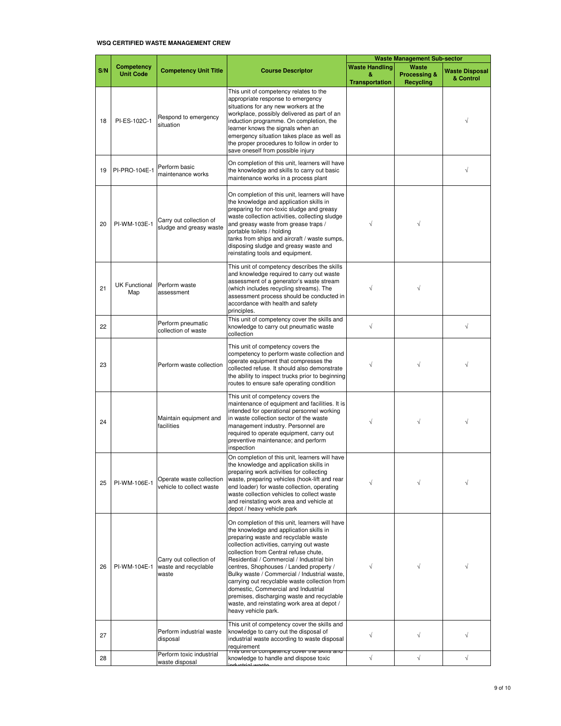#### **WSQ CERTIFIED WASTE MANAGEMENT CREW**

|     |                                       |                                                          |                                                                                                                                                                                                                                                                                                                                                                                                                                                                                                                                                                             |                                                     | <b>Waste Management Sub-sector</b>                   |                                    |
|-----|---------------------------------------|----------------------------------------------------------|-----------------------------------------------------------------------------------------------------------------------------------------------------------------------------------------------------------------------------------------------------------------------------------------------------------------------------------------------------------------------------------------------------------------------------------------------------------------------------------------------------------------------------------------------------------------------------|-----------------------------------------------------|------------------------------------------------------|------------------------------------|
| S/N | <b>Competency</b><br><b>Unit Code</b> | <b>Competency Unit Title</b>                             | <b>Course Descriptor</b>                                                                                                                                                                                                                                                                                                                                                                                                                                                                                                                                                    | <b>Waste Handling</b><br>&<br><b>Transportation</b> | Waste<br><b>Processing &amp;</b><br><b>Recycling</b> | <b>Waste Disposal</b><br>& Control |
| 18  | PI-ES-102C-1                          | Respond to emergency<br>situation                        | This unit of competency relates to the<br>appropriate response to emergency<br>situations for any new workers at the<br>workplace, possibly delivered as part of an<br>induction programme. On completion, the<br>learner knows the signals when an<br>emergency situation takes place as well as<br>the proper procedures to follow in order to<br>save oneself from possible injury                                                                                                                                                                                       |                                                     |                                                      |                                    |
| 19  | PI-PRO-104E-1                         | Perform basic<br>maintenance works                       | On completion of this unit, learners will have<br>the knowledge and skills to carry out basic<br>maintenance works in a process plant                                                                                                                                                                                                                                                                                                                                                                                                                                       |                                                     |                                                      | $\sqrt{}$                          |
| 20  | PI-WM-103E-1                          | Carry out collection of<br>sludge and greasy waste       | On completion of this unit, learners will have<br>the knowledge and application skills in<br>preparing for non-toxic sludge and greasy<br>waste collection activities, collecting sludge<br>and greasy waste from grease traps /<br>portable toilets / holding<br>tanks from ships and aircraft / waste sumps,<br>disposing sludge and greasy waste and<br>reinstating tools and equipment.                                                                                                                                                                                 | V                                                   | $\sqrt{}$                                            |                                    |
| 21  | <b>UK Functional</b><br>Map           | Perform waste<br>assessment                              | This unit of competency describes the skills<br>and knowledge required to carry out waste<br>assessment of a generator's waste stream<br>(which includes recycling streams). The<br>assessment process should be conducted in<br>accordance with health and safety<br>principles.                                                                                                                                                                                                                                                                                           |                                                     | $\sqrt{ }$                                           |                                    |
| 22  |                                       | Perform pneumatic<br>collection of waste                 | This unit of competency cover the skills and<br>knowledge to carry out pneumatic waste<br>collection                                                                                                                                                                                                                                                                                                                                                                                                                                                                        | $\sqrt{}$                                           |                                                      | $\sqrt{}$                          |
| 23  |                                       | Perform waste collection                                 | This unit of competency covers the<br>competency to perform waste collection and<br>operate equipment that compresses the<br>collected refuse. It should also demonstrate<br>the ability to inspect trucks prior to beginning<br>routes to ensure safe operating condition                                                                                                                                                                                                                                                                                                  |                                                     | $\sqrt{}$                                            |                                    |
| 24  |                                       | Maintain equipment and<br>facilities                     | This unit of competency covers the<br>maintenance of equipment and facilities. It is<br>intended for operational personnel working<br>in waste collection sector of the waste<br>management industry. Personnel are<br>required to operate equipment, carry out<br>preventive maintenance; and perform<br>inspection                                                                                                                                                                                                                                                        | V                                                   | $\sqrt{}$                                            |                                    |
| 25  | PI-WM-106E-1                          | Operate waste collection<br>vehicle to collect waste     | On completion of this unit, learners will have<br>the knowledge and application skills in<br>preparing work activities for collecting<br>waste, preparing vehicles (hook-lift and rear<br>end loader) for waste collection, operating<br>waste collection vehicles to collect waste<br>and reinstating work area and vehicle at<br>depot / heavy vehicle park                                                                                                                                                                                                               |                                                     |                                                      |                                    |
| 26  | PI-WM-104E-1                          | Carry out collection of<br>waste and recyclable<br>waste | On completion of this unit, learners will have<br>the knowledge and application skills in<br>preparing waste and recyclable waste<br>collection activities, carrying out waste<br>collection from Central refuse chute.<br>Residential / Commercial / Industrial bin<br>centres, Shophouses / Landed property /<br>Bulky waste / Commercial / Industrial waste,<br>carrying out recyclable waste collection from<br>domestic, Commercial and Industrial<br>premises, discharging waste and recyclable<br>waste, and reinstating work area at depot /<br>heavy vehicle park. |                                                     |                                                      |                                    |
| 27  |                                       | Perform industrial waste<br>disposal                     | This unit of competency cover the skills and<br>knowledge to carry out the disposal of<br>industrial waste according to waste disposal<br>requirement<br><u>This unit of competency cover the skins and </u>                                                                                                                                                                                                                                                                                                                                                                | √                                                   |                                                      |                                    |
| 28  |                                       | Perform toxic industrial<br>waste disposal               | knowledge to handle and dispose toxic                                                                                                                                                                                                                                                                                                                                                                                                                                                                                                                                       | $\sqrt{}$                                           | $\sqrt{}$                                            | $\sqrt{}$                          |